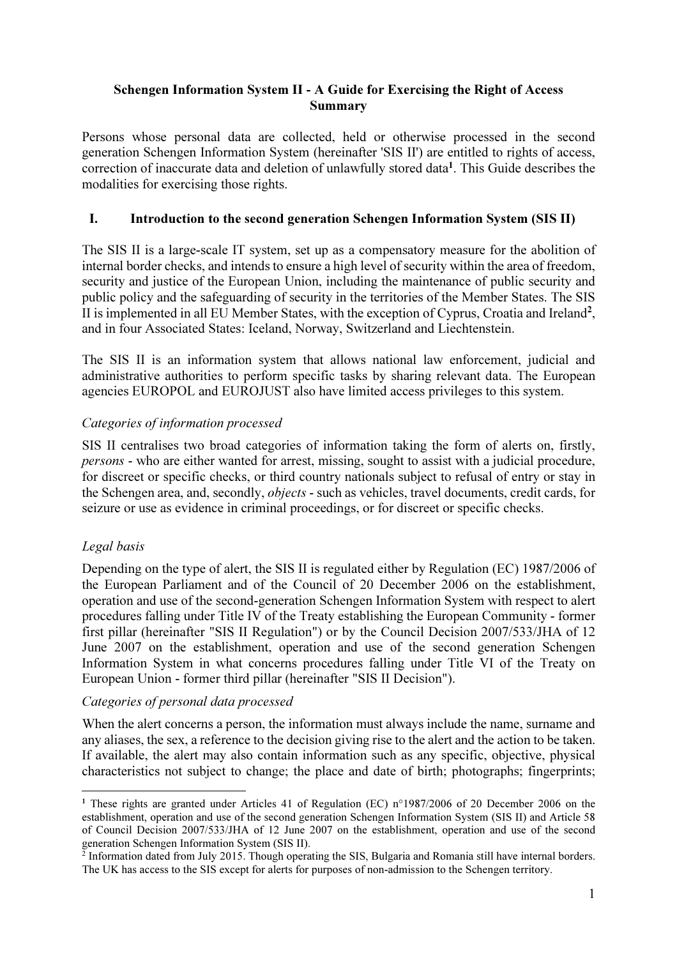#### Schengen Information System II - A Guide for Exercising the Right of Access Summary

Persons whose personal data are collected, held or otherwise processed in the second generation Schengen Information System (hereinafter 'SIS II') are entitled to rights of access, correction of inaccurate data and deletion of unlawfully stored data<sup>1</sup>. This Guide describes the modalities for exercising those rights.

## I. Introduction to the second generation Schengen Information System (SIS II)

The SIS II is a large-scale IT system, set up as a compensatory measure for the abolition of internal border checks, and intends to ensure a high level of security within the area of freedom, security and justice of the European Union, including the maintenance of public security and public policy and the safeguarding of security in the territories of the Member States. The SIS II is implemented in all EU Member States, with the exception of Cyprus, Croatia and Ireland<sup>2</sup>, and in four Associated States: Iceland, Norway, Switzerland and Liechtenstein.

The SIS II is an information system that allows national law enforcement, judicial and administrative authorities to perform specific tasks by sharing relevant data. The European agencies EUROPOL and EUROJUST also have limited access privileges to this system.

#### Categories of information processed

SIS II centralises two broad categories of information taking the form of alerts on, firstly, persons - who are either wanted for arrest, missing, sought to assist with a judicial procedure, for discreet or specific checks, or third country nationals subject to refusal of entry or stay in the Schengen area, and, secondly, objects - such as vehicles, travel documents, credit cards, for seizure or use as evidence in criminal proceedings, or for discreet or specific checks.

## Legal basis

 $\overline{a}$ 

Depending on the type of alert, the SIS II is regulated either by Regulation (EC) 1987/2006 of the European Parliament and of the Council of 20 December 2006 on the establishment, operation and use of the second-generation Schengen Information System with respect to alert procedures falling under Title IV of the Treaty establishing the European Community - former first pillar (hereinafter "SIS II Regulation") or by the Council Decision 2007/533/JHA of 12 June 2007 on the establishment, operation and use of the second generation Schengen Information System in what concerns procedures falling under Title VI of the Treaty on European Union - former third pillar (hereinafter "SIS II Decision").

## Categories of personal data processed

When the alert concerns a person, the information must always include the name, surname and any aliases, the sex, a reference to the decision giving rise to the alert and the action to be taken. If available, the alert may also contain information such as any specific, objective, physical characteristics not subject to change; the place and date of birth; photographs; fingerprints;

<sup>&</sup>lt;sup>1</sup> These rights are granted under Articles 41 of Regulation (EC) n°1987/2006 of 20 December 2006 on the establishment, operation and use of the second generation Schengen Information System (SIS II) and Article 58 of Council Decision 2007/533/JHA of 12 June 2007 on the establishment, operation and use of the second

generation Schengen Information System (SIS II).<br><sup>2</sup> Information dated from July 2015. Though operating the SIS, Bulgaria and Romania still have internal borders. The UK has access to the SIS except for alerts for purposes of non-admission to the Schengen territory.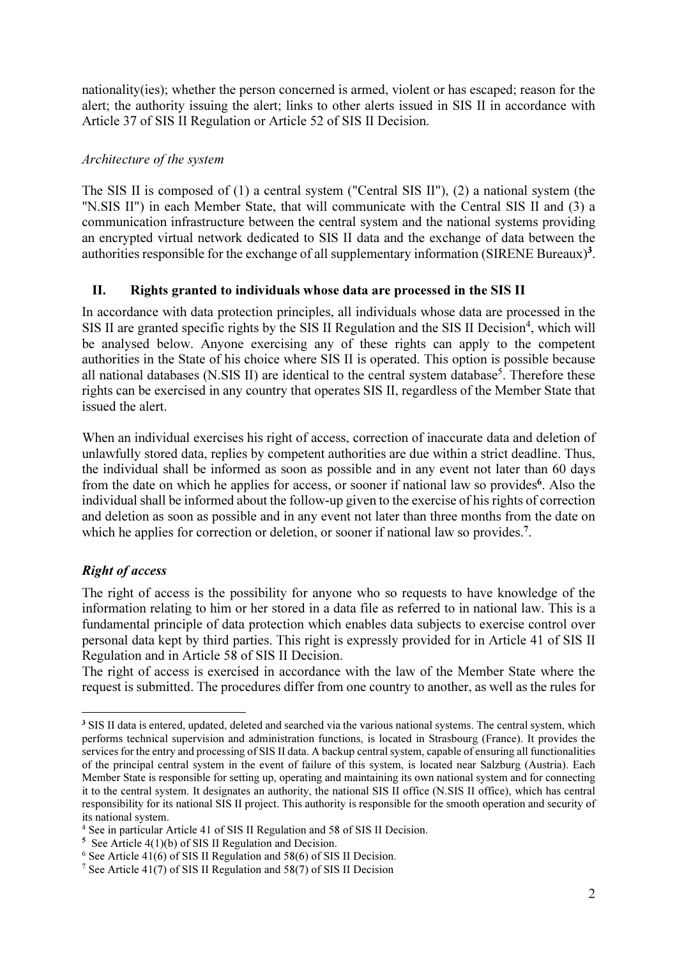nationality(ies); whether the person concerned is armed, violent or has escaped; reason for the alert; the authority issuing the alert; links to other alerts issued in SIS II in accordance with Article 37 of SIS II Regulation or Article 52 of SIS II Decision.

#### Architecture of the system

The SIS II is composed of (1) a central system ("Central SIS II"), (2) a national system (the "N.SIS II") in each Member State, that will communicate with the Central SIS II and (3) a communication infrastructure between the central system and the national systems providing an encrypted virtual network dedicated to SIS II data and the exchange of data between the authorities responsible for the exchange of all supplementary information (SIRENE Bureaux)<sup>3</sup>.

## II. Rights granted to individuals whose data are processed in the SIS II

In accordance with data protection principles, all individuals whose data are processed in the SIS II are granted specific rights by the SIS II Regulation and the SIS II Decision<sup>4</sup>, which will be analysed below. Anyone exercising any of these rights can apply to the competent authorities in the State of his choice where SIS II is operated. This option is possible because all national databases (N.SIS II) are identical to the central system database<sup>5</sup>. Therefore these rights can be exercised in any country that operates SIS II, regardless of the Member State that issued the alert.

When an individual exercises his right of access, correction of inaccurate data and deletion of unlawfully stored data, replies by competent authorities are due within a strict deadline. Thus, the individual shall be informed as soon as possible and in any event not later than 60 days from the date on which he applies for access, or sooner if national law so provides<sup>6</sup>. Also the individual shall be informed about the follow-up given to the exercise of his rights of correction and deletion as soon as possible and in any event not later than three months from the date on which he applies for correction or deletion, or sooner if national law so provides.<sup>7</sup>.

# Right of access

The right of access is the possibility for anyone who so requests to have knowledge of the information relating to him or her stored in a data file as referred to in national law. This is a fundamental principle of data protection which enables data subjects to exercise control over personal data kept by third parties. This right is expressly provided for in Article 41 of SIS II Regulation and in Article 58 of SIS II Decision.

The right of access is exercised in accordance with the law of the Member State where the request is submitted. The procedures differ from one country to another, as well as the rules for

 $\overline{a}$ <sup>3</sup> SIS II data is entered, updated, deleted and searched via the various national systems. The central system, which performs technical supervision and administration functions, is located in Strasbourg (France). It provides the services for the entry and processing of SIS II data. A backup central system, capable of ensuring all functionalities of the principal central system in the event of failure of this system, is located near Salzburg (Austria). Each Member State is responsible for setting up, operating and maintaining its own national system and for connecting it to the central system. It designates an authority, the national SIS II office (N.SIS II office), which has central responsibility for its national SIS II project. This authority is responsible for the smooth operation and security of its national system.

<sup>4</sup> See in particular Article 41 of SIS II Regulation and 58 of SIS II Decision.

<sup>5</sup> See Article 4(1)(b) of SIS II Regulation and Decision.

 $6$  See Article 41(6) of SIS II Regulation and 58(6) of SIS II Decision.

<sup>7</sup> See Article 41(7) of SIS II Regulation and 58(7) of SIS II Decision